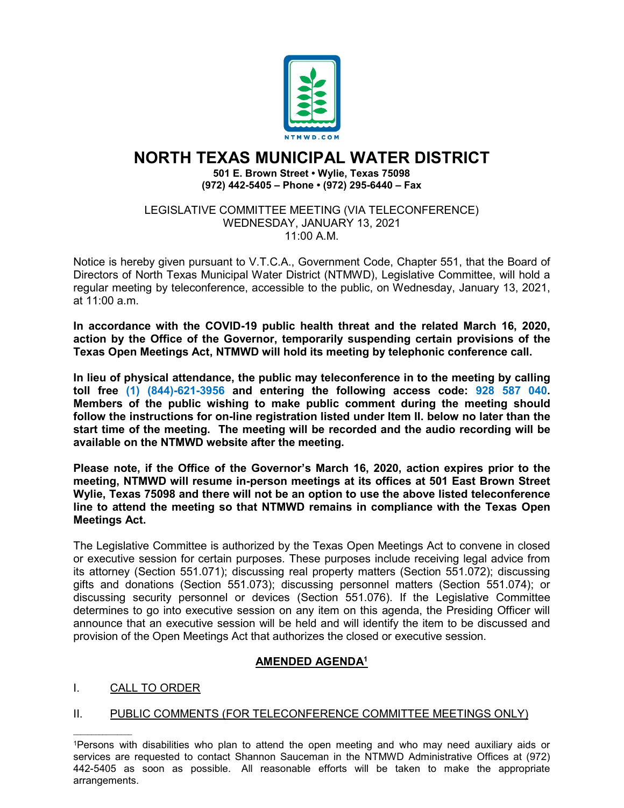

# **NORTH TEXAS MUNICIPAL WATER DISTRICT**

#### **501 E. Brown Street • Wylie, Texas 75098 (972) 442-5405 – Phone • (972) 295-6440 – Fax**

#### LEGISLATIVE COMMITTEE MEETING (VIA TELECONFERENCE) WEDNESDAY, JANUARY 13, 2021 11:00 A.M.

Notice is hereby given pursuant to V.T.C.A., Government Code, Chapter 551, that the Board of Directors of North Texas Municipal Water District (NTMWD), Legislative Committee, will hold a regular meeting by teleconference, accessible to the public, on Wednesday, January 13, 2021, at 11:00 a.m.

**In accordance with the COVID-19 public health threat and the related March 16, 2020, action by the Office of the Governor, temporarily suspending certain provisions of the Texas Open Meetings Act, NTMWD will hold its meeting by telephonic conference call.** 

**In lieu of physical attendance, the public may teleconference in to the meeting by calling toll free (1) (844)-621-3956 and entering the following access code: 928 587 040. Members of the public wishing to make public comment during the meeting should follow the instructions for on-line registration listed under Item II. below no later than the start time of the meeting. The meeting will be recorded and the audio recording will be available on the NTMWD website after the meeting.**

**Please note, if the Office of the Governor's March 16, 2020, action expires prior to the meeting, NTMWD will resume in-person meetings at its offices at 501 East Brown Street Wylie, Texas 75098 and there will not be an option to use the above listed teleconference line to attend the meeting so that NTMWD remains in compliance with the Texas Open Meetings Act.**

The Legislative Committee is authorized by the Texas Open Meetings Act to convene in closed or executive session for certain purposes. These purposes include receiving legal advice from its attorney (Section 551.071); discussing real property matters (Section 551.072); discussing gifts and donations (Section 551.073); discussing personnel matters (Section 551.074); or discussing security personnel or devices (Section 551.076). If the Legislative Committee determines to go into executive session on any item on this agenda, the Presiding Officer will announce that an executive session will be held and will identify the item to be discussed and provision of the Open Meetings Act that authorizes the closed or executive session.

## **AMENDED AGENDA1**

I. CALL TO ORDER

\_\_\_\_\_\_\_\_\_\_\_\_\_\_\_\_

#### II. PUBLIC COMMENTS (FOR TELECONFERENCE COMMITTEE MEETINGS ONLY)

<sup>&</sup>lt;sup>1</sup>Persons with disabilities who plan to attend the open meeting and who may need auxiliary aids or services are requested to contact Shannon Sauceman in the NTMWD Administrative Offices at (972) 442-5405 as soon as possible. All reasonable efforts will be taken to make the appropriate arrangements.